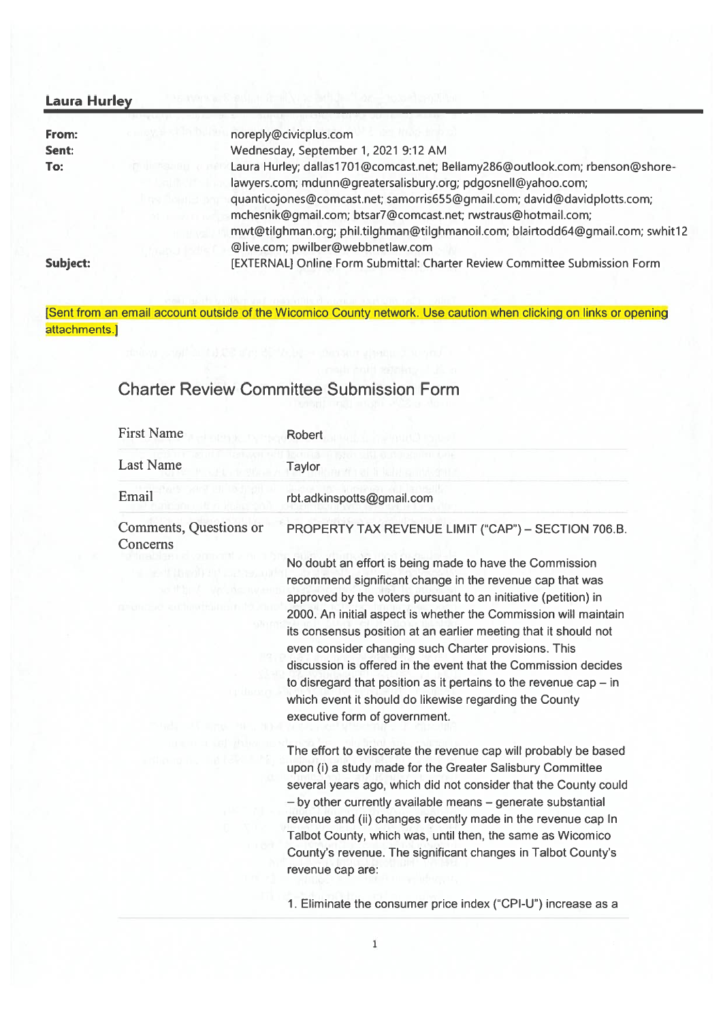| <b>Laura Hurley</b> |                                                                                                                                                                                                                                                                                                                                                                               |  |
|---------------------|-------------------------------------------------------------------------------------------------------------------------------------------------------------------------------------------------------------------------------------------------------------------------------------------------------------------------------------------------------------------------------|--|
| From:               | noreply@civicplus.com                                                                                                                                                                                                                                                                                                                                                         |  |
| Sent:               | Wednesday, September 1, 2021 9:12 AM                                                                                                                                                                                                                                                                                                                                          |  |
| To:                 | Laura Hurley; dallas1701@comcast.net; Bellamy286@outlook.com; rbenson@shore-<br>lawyers.com; mdunn@greatersalisbury.org; pdgosnell@yahoo.com;<br>quanticojones@comcast.net; samorris655@gmail.com; david@davidplotts.com;<br>mchesnik@gmail.com; btsar7@comcast.net; rwstraus@hotmail.com;<br>mwt@tilghman.org; phil.tilghman@tilghmanoil.com; blairtodd64@gmail.com; swhit12 |  |
| Subject:            | @live.com; pwilber@webbnetlaw.com<br>[EXTERNAL] Online Form Submittal: Charter Review Committee Submission Form                                                                                                                                                                                                                                                               |  |

[Sent from an email account outside of the Wicomico County network. Use caution when clicking on links or opening attachments.]

## Charter Review Committee Submission Form

| <b>First Name</b>                  | <b>Robert</b>                                                                                                                                                                                                                                                                                                                                                                                                                                                                                                                                                                                                           |  |
|------------------------------------|-------------------------------------------------------------------------------------------------------------------------------------------------------------------------------------------------------------------------------------------------------------------------------------------------------------------------------------------------------------------------------------------------------------------------------------------------------------------------------------------------------------------------------------------------------------------------------------------------------------------------|--|
| <b>Last Name</b>                   | Taylor                                                                                                                                                                                                                                                                                                                                                                                                                                                                                                                                                                                                                  |  |
| Email                              | rbt.adkinspotts@gmail.com                                                                                                                                                                                                                                                                                                                                                                                                                                                                                                                                                                                               |  |
| Comments, Questions or<br>Concerns | PROPERTY TAX REVENUE LIMIT ("CAP") - SECTION 706.B.                                                                                                                                                                                                                                                                                                                                                                                                                                                                                                                                                                     |  |
| <b>SOUTHBAND</b>                   | No doubt an effort is being made to have the Commission<br>recommend significant change in the revenue cap that was<br>approved by the voters pursuant to an initiative (petition) in<br>2000. An initial aspect is whether the Commission will maintain<br>its consensus position at an earlier meeting that it should not<br>even consider changing such Charter provisions. This<br>discussion is offered in the event that the Commission decides<br>to disregard that position as it pertains to the revenue $cap - in$<br>which event it should do likewise regarding the County<br>executive form of government. |  |
|                                    | The effort to eviscerate the revenue cap will probably be based<br>upon (i) a study made for the Greater Salisbury Committee<br>several years ago, which did not consider that the County could<br>- by other currently available means - generate substantial<br>revenue and (ii) changes recently made in the revenue cap In<br>Talbot County, which was, until then, the same as Wicomico<br>County's revenue. The significant changes in Talbot County's<br>revenue cap are:                                                                                                                                        |  |
|                                    | 1. Eliminate the consumer price index ("CPI-U") increase as a                                                                                                                                                                                                                                                                                                                                                                                                                                                                                                                                                           |  |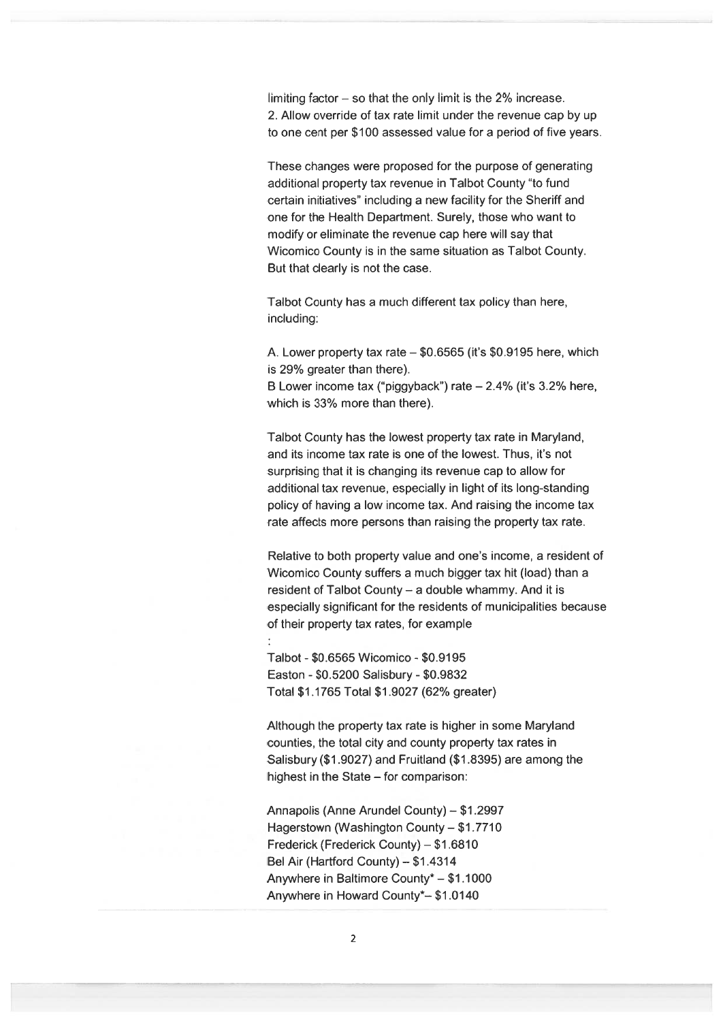limiting factor — so that the only limit is the 2% increase. 2. Allow override of tax rate limit under the revenue cap by up to one cent per \$100 assessed value for <sup>a</sup> period of five years.

These changes were proposed for the purpose of generating additional property tax revenue in Talbot County "to fund certain initiatives" including <sup>a</sup> new facility for the Sheriff and one for the Health Department. Surely, those who want to modify or eliminate the revenue cap here will say that Wicomico County is in the same situation as Talbot County. But that clearly is not the case.

Talbot County has <sup>a</sup> much different tax policy than here, including:

A. Lower property tax rate – \$0.6565 (it's \$0.9195 here, which is 29% greater than there).

B Lower income tax ("piggyback") rate — 2.4% (it's 3.2% here, which is 33% more than there).

Talbot County has the lowest property tax rate in Maryland, and its income tax rate is one of the lowest. Thus, it's not surprising that it is changing its revenue cap to allow for additional tax revenue, especially in light of its long-standing policy of having <sup>a</sup> low income tax. And raising the income tax rate affects more persons than raising the property tax rate.

Relative to both property value and one's income, <sup>a</sup> resident of Wicomico County suffers <sup>a</sup> much bigger tax hit (load) than <sup>a</sup> resident of Talbot County — <sup>a</sup> double whammy. And it is especially significant for the residents of municipalities because of their property tax rates, for example

Talbot - \$0.6565 Wicomico - \$0.9195 Easton - \$05200 Salisbury - \$09832 Total \$1 .1765 Total \$1 .9027 (62% greater)

Although the property tax rate is higher in some Maryland counties, the total city and county property tax rates in Salisbury (\$1 .9027) and Fruitland (\$1 .8395) are among the highest in the State — for comparison:

Annapolis (Anne Arundel County) — \$1 .2997 Hagerstown (Washington County — \$1 .7710 Frederick (Frederick County) – \$1.6810 Bel Air (Hartford County)— \$1.4314 Anywhere in Baltimore County\* — \$1 .1000 Anywhere in Howard County\*\_ \$1 .0140